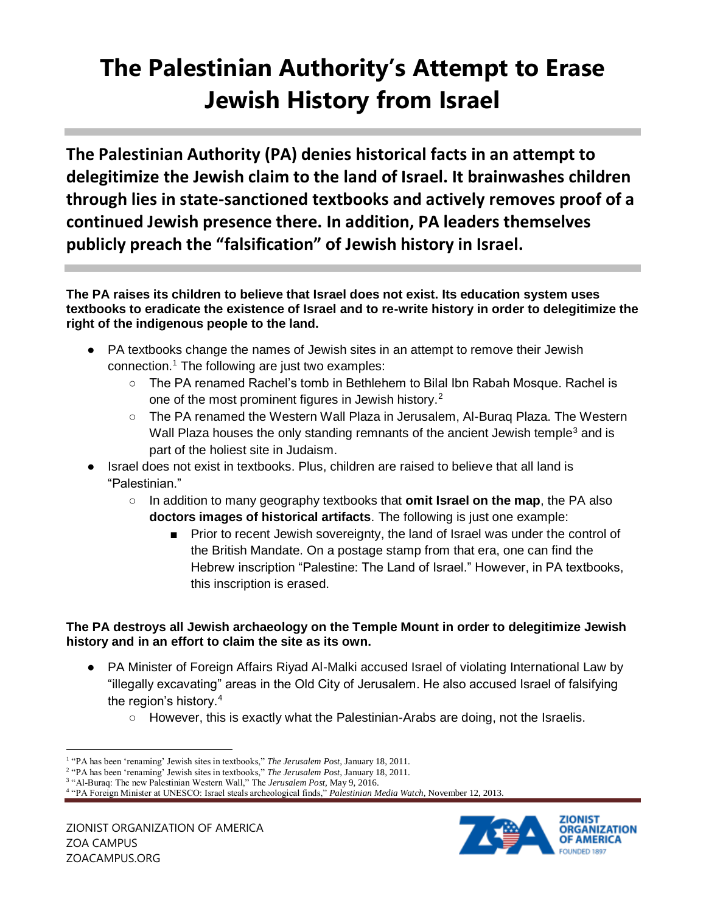## **The Palestinian Authority's Attempt to Erase Jewish History from Israel**

**The Palestinian Authority (PA) denies historical facts in an attempt to delegitimize the Jewish claim to the land of Israel. It brainwashes children through lies in state-sanctioned textbooks and actively removes proof of a continued Jewish presence there. In addition, PA leaders themselves publicly preach the "falsification" of Jewish history in Israel.**

**The PA raises its children to believe that Israel does not exist. Its education system uses textbooks to eradicate the existence of Israel and to re-write history in order to delegitimize the right of the indigenous people to the land.**

- PA textbooks change the names of Jewish sites in an attempt to remove their Jewish connection.<sup>1</sup> The following are just two examples:
	- The PA renamed Rachel's tomb in Bethlehem to Bilal Ibn Rabah Mosque. Rachel is one of the most prominent figures in Jewish history.<sup>2</sup>
	- The PA renamed the Western Wall Plaza in Jerusalem, Al-Buraq Plaza. The Western Wall Plaza houses the only standing remnants of the ancient Jewish temple<sup>3</sup> and is part of the holiest site in Judaism.
- Israel does not exist in textbooks. Plus, children are raised to believe that all land is "Palestinian."
	- In addition to many geography textbooks that **omit Israel on the map**, the PA also **doctors images of historical artifacts**. The following is just one example:
		- Prior to recent Jewish sovereignty, the land of Israel was under the control of the British Mandate. On a postage stamp from that era, one can find the Hebrew inscription "Palestine: The Land of Israel." However, in PA textbooks, this inscription is erased.

## **The PA destroys all Jewish archaeology on the Temple Mount in order to delegitimize Jewish history and in an effort to claim the site as its own.**

- PA Minister of Foreign Affairs Riyad Al-Malki accused Israel of violating International Law by "illegally excavating" areas in the Old City of Jerusalem. He also accused Israel of falsifying the region's history.<sup>4</sup>
	- However, this is exactly what the Palestinian-Arabs are doing, not the Israelis.



 $\overline{a}$ <sup>1</sup> "PA has been 'renaming' Jewish sites in textbooks," *The Jerusalem Post*, January 18, 2011.

<sup>&</sup>lt;sup>2</sup> "PA has been 'renaming' Jewish sites in textbooks," *The Jerusalem Post*, January 18, 2011.

<sup>&</sup>lt;sup>3</sup> "Al-Buraq: The new Palestinian Western Wall," The *Jerusalem Post*, May 9, 2016.